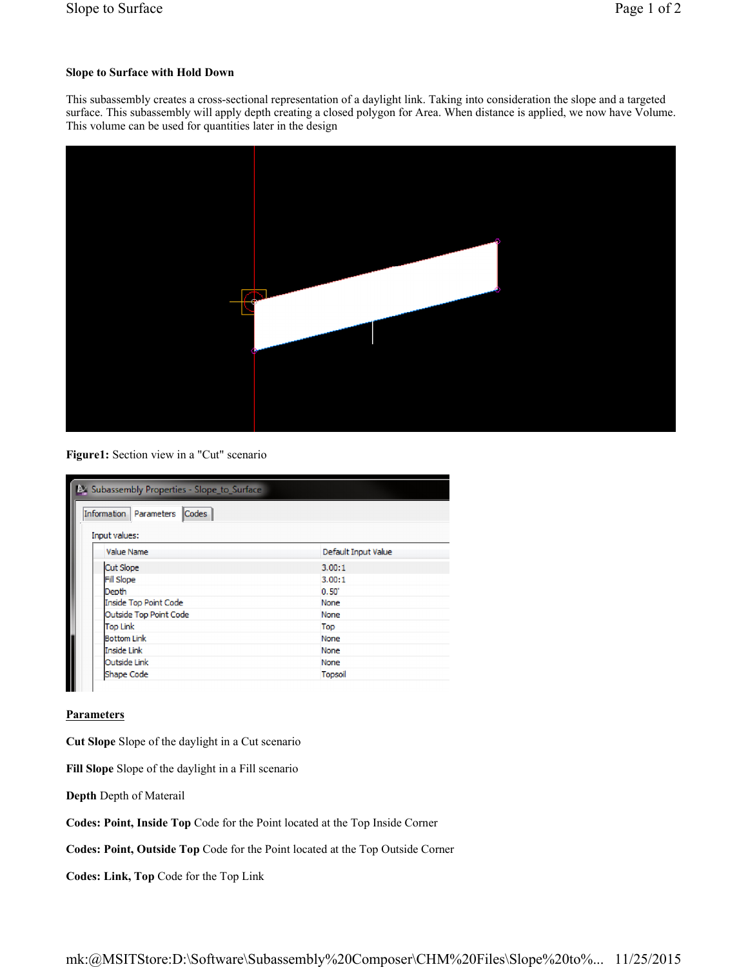## **Slope to Surface with Hold Down**

This subassembly creates a cross-sectional representation of a daylight link. Taking into consideration the slope and a targeted surface. This subassembly will apply depth creating a closed polygon for Area. When distance is applied, we now have Volume. This volume can be used for quantities later in the design



**Figure1:** Section view in a "Cut" scenario

| Subassembly Properties - Slope to Surface<br>Codes<br>Information<br>Parameters<br>Input values: |                     |
|--------------------------------------------------------------------------------------------------|---------------------|
| Value Name                                                                                       | Default Input Value |
| Cut Slope                                                                                        | 3.00:1              |
| Fill Slope                                                                                       | 3.00:1              |
| Depth                                                                                            | 0.50'               |
| Inside Top Point Code                                                                            | None                |
| Outside Top Point Code                                                                           | None                |
| <b>Top Link</b>                                                                                  | Top                 |
| <b>Bottom Link</b>                                                                               | None                |
| Inside Link                                                                                      | None                |
| Outside Link                                                                                     | None                |
| <b>Shape Code</b>                                                                                | Topsoil             |

**Parameters**

**Cut Slope** Slope of the daylight in a Cut scenario

**Fill Slope** Slope of the daylight in a Fill scenario

**Depth** Depth of Materail

**Codes: Point, Inside Top** Code for the Point located at the Top Inside Corner

**Codes: Point, Outside Top** Code for the Point located at the Top Outside Corner

**Codes: Link, Top** Code for the Top Link